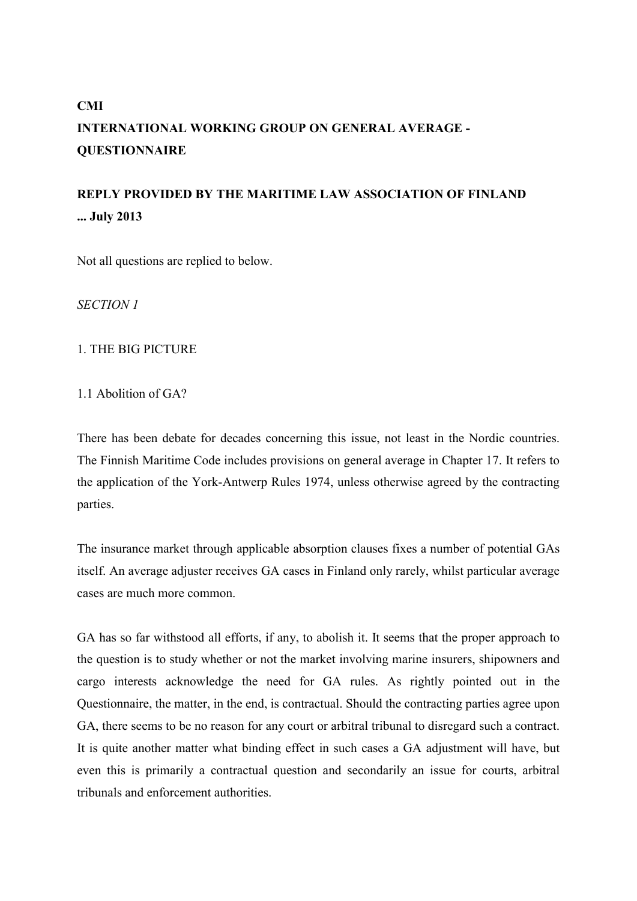# **CMI INTERNATIONAL WORKING GROUP ON GENERAL AVERAGE - QUESTIONNAIRE**

# **REPLY PROVIDED BY THE MARITIME LAW ASSOCIATION OF FINLAND ... July 2013**

Not all questions are replied to below.

*SECTION 1*

## 1. THE BIG PICTURE

1.1 Abolition of GA?

There has been debate for decades concerning this issue, not least in the Nordic countries. The Finnish Maritime Code includes provisions on general average in Chapter 17. It refers to the application of the York-Antwerp Rules 1974, unless otherwise agreed by the contracting parties.

The insurance market through applicable absorption clauses fixes a number of potential GAs itself. An average adjuster receives GA cases in Finland only rarely, whilst particular average cases are much more common.

GA has so far withstood all efforts, if any, to abolish it. It seems that the proper approach to the question is to study whether or not the market involving marine insurers, shipowners and cargo interests acknowledge the need for GA rules. As rightly pointed out in the Questionnaire, the matter, in the end, is contractual. Should the contracting parties agree upon GA, there seems to be no reason for any court or arbitral tribunal to disregard such a contract. It is quite another matter what binding effect in such cases a GA adjustment will have, but even this is primarily a contractual question and secondarily an issue for courts, arbitral tribunals and enforcement authorities.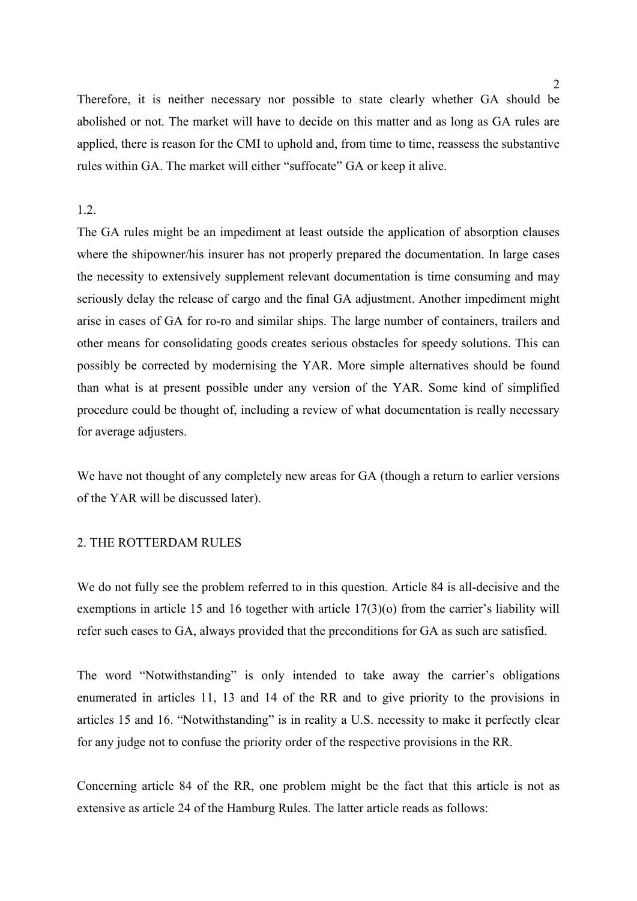Therefore, it is neither necessary nor possible to state clearly whether GA should be abolished or not. The market will have to decide on this matter and as long as GA rules are applied, there is reason for the CMI to uphold and, from time to time, reassess the substantive rules within GA. The market will either "suffocate" GA or keep it alive.

## 1.2.

The GA rules might be an impediment at least outside the application of absorption clauses where the shipowner/his insurer has not properly prepared the documentation. In large cases the necessity to extensively supplement relevant documentation is time consuming and may seriously delay the release of cargo and the final GA adjustment. Another impediment might arise in cases of GA for ro-ro and similar ships. The large number of containers, trailers and other means for consolidating goods creates serious obstacles for speedy solutions. This can possibly be corrected by modernising the YAR. More simple alternatives should be found than what is at present possible under any version of the YAR. Some kind of simplified procedure could be thought of, including a review of what documentation is really necessary for average adjusters.

We have not thought of any completely new areas for GA (though a return to earlier versions of the YAR will be discussed later).

## 2. THE ROTTERDAM RULES

We do not fully see the problem referred to in this question. Article 84 is all-decisive and the exemptions in article 15 and 16 together with article 17(3)(o) from the carrier's liability will refer such cases to GA, always provided that the preconditions for GA as such are satisfied.

The word "Notwithstanding" is only intended to take away the carrier's obligations enumerated in articles 11, 13 and 14 of the RR and to give priority to the provisions in articles 15 and 16. "Notwithstanding" is in reality a U.S. necessity to make it perfectly clear for any judge not to confuse the priority order of the respective provisions in the RR.

Concerning article 84 of the RR, one problem might be the fact that this article is not as extensive as article 24 of the Hamburg Rules. The latter article reads as follows: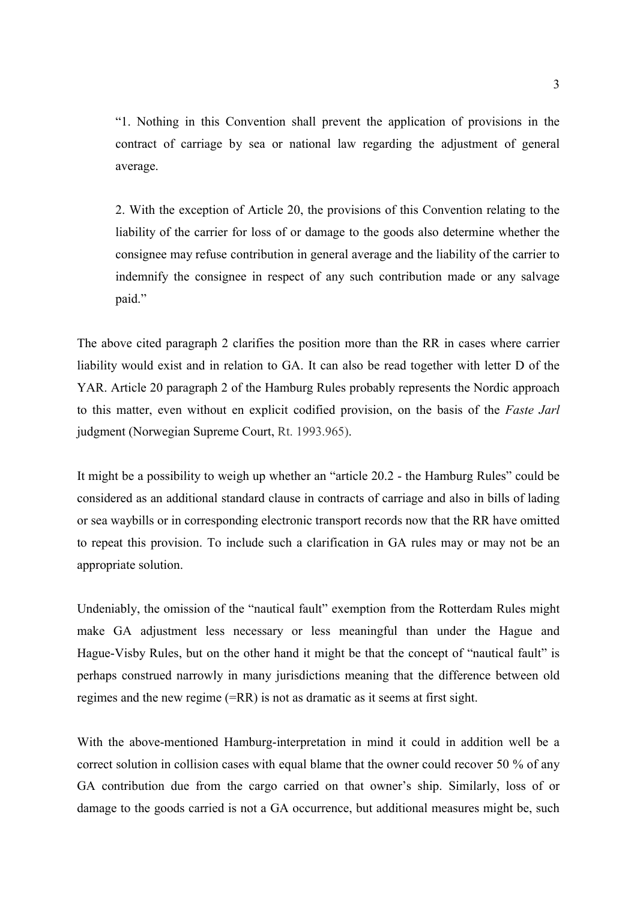"1. Nothing in this Convention shall prevent the application of provisions in the contract of carriage by sea or national law regarding the adjustment of general average.

2. With the exception of Article 20, the provisions of this Convention relating to the liability of the carrier for loss of or damage to the goods also determine whether the consignee may refuse contribution in general average and the liability of the carrier to indemnify the consignee in respect of any such contribution made or any salvage paid."

The above cited paragraph 2 clarifies the position more than the RR in cases where carrier liability would exist and in relation to GA. It can also be read together with letter D of the YAR. Article 20 paragraph 2 of the Hamburg Rules probably represents the Nordic approach to this matter, even without en explicit codified provision, on the basis of the *Faste Jarl* judgment (Norwegian Supreme Court, Rt. 1993.965).

It might be a possibility to weigh up whether an "article 20.2 - the Hamburg Rules" could be considered as an additional standard clause in contracts of carriage and also in bills of lading or sea waybills or in corresponding electronic transport records now that the RR have omitted to repeat this provision. To include such a clarification in GA rules may or may not be an appropriate solution.

Undeniably, the omission of the "nautical fault" exemption from the Rotterdam Rules might make GA adjustment less necessary or less meaningful than under the Hague and Hague-Visby Rules, but on the other hand it might be that the concept of "nautical fault" is perhaps construed narrowly in many jurisdictions meaning that the difference between old regimes and the new regime (=RR) is not as dramatic as it seems at first sight.

With the above-mentioned Hamburg-interpretation in mind it could in addition well be a correct solution in collision cases with equal blame that the owner could recover 50 % of any GA contribution due from the cargo carried on that owner's ship. Similarly, loss of or damage to the goods carried is not a GA occurrence, but additional measures might be, such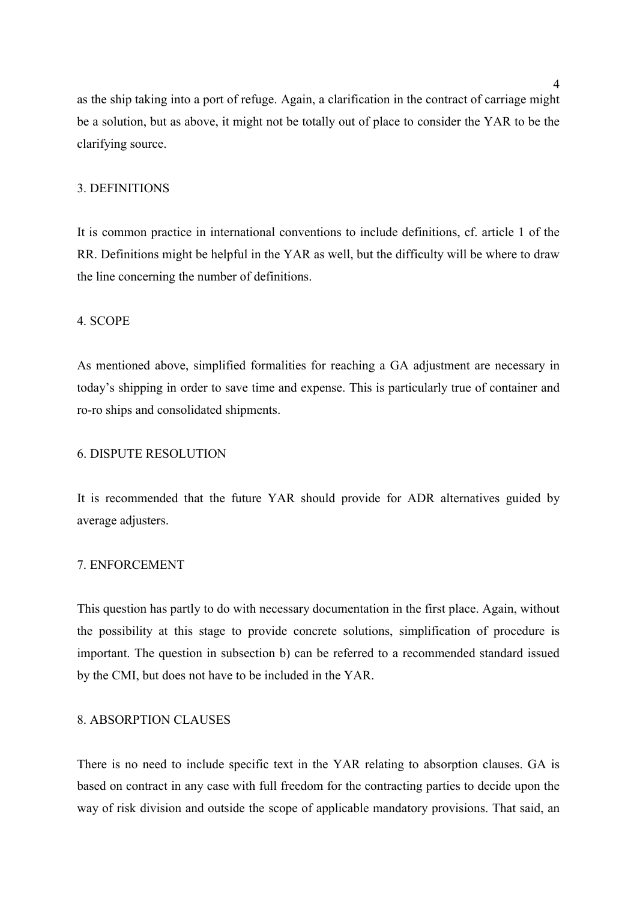as the ship taking into a port of refuge. Again, a clarification in the contract of carriage might be a solution, but as above, it might not be totally out of place to consider the YAR to be the clarifying source.

## 3. DEFINITIONS

It is common practice in international conventions to include definitions, cf. article 1 of the RR. Definitions might be helpful in the YAR as well, but the difficulty will be where to draw the line concerning the number of definitions.

#### 4. SCOPE

As mentioned above, simplified formalities for reaching a GA adjustment are necessary in today's shipping in order to save time and expense. This is particularly true of container and ro-ro ships and consolidated shipments.

## 6. DISPUTE RESOLUTION

It is recommended that the future YAR should provide for ADR alternatives guided by average adjusters.

## 7. ENFORCEMENT

This question has partly to do with necessary documentation in the first place. Again, without the possibility at this stage to provide concrete solutions, simplification of procedure is important. The question in subsection b) can be referred to a recommended standard issued by the CMI, but does not have to be included in the YAR.

## 8. ABSORPTION CLAUSES

There is no need to include specific text in the YAR relating to absorption clauses. GA is based on contract in any case with full freedom for the contracting parties to decide upon the way of risk division and outside the scope of applicable mandatory provisions. That said, an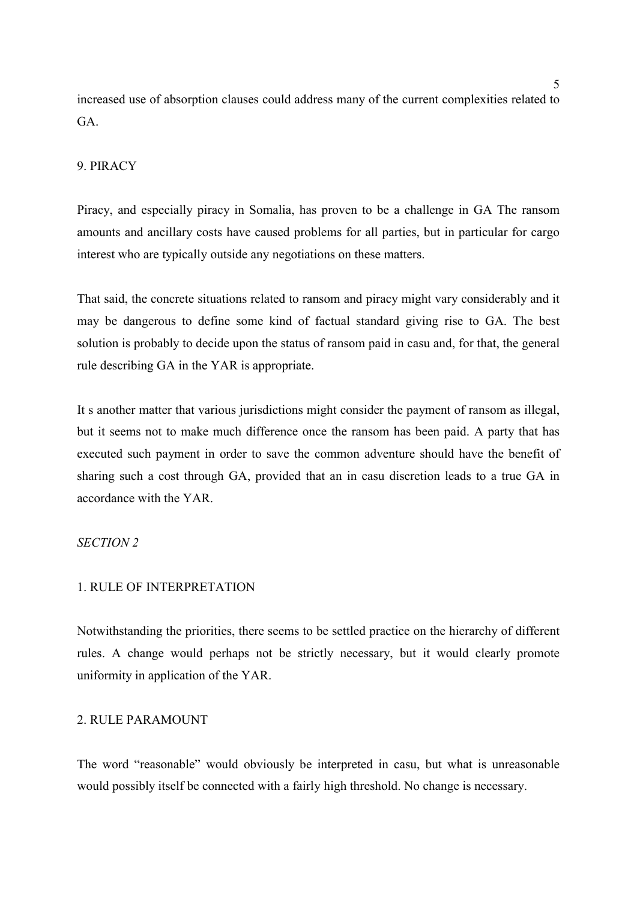increased use of absorption clauses could address many of the current complexities related to GA.

## 9. PIRACY

Piracy, and especially piracy in Somalia, has proven to be a challenge in GA The ransom amounts and ancillary costs have caused problems for all parties, but in particular for cargo interest who are typically outside any negotiations on these matters.

That said, the concrete situations related to ransom and piracy might vary considerably and it may be dangerous to define some kind of factual standard giving rise to GA. The best solution is probably to decide upon the status of ransom paid in casu and, for that, the general rule describing GA in the YAR is appropriate.

It s another matter that various jurisdictions might consider the payment of ransom as illegal, but it seems not to make much difference once the ransom has been paid. A party that has executed such payment in order to save the common adventure should have the benefit of sharing such a cost through GA, provided that an in casu discretion leads to a true GA in accordance with the YAR.

## *SECTION 2*

#### 1. RULE OF INTERPRETATION

Notwithstanding the priorities, there seems to be settled practice on the hierarchy of different rules. A change would perhaps not be strictly necessary, but it would clearly promote uniformity in application of the YAR.

## 2. RULE PARAMOUNT

The word "reasonable" would obviously be interpreted in casu, but what is unreasonable would possibly itself be connected with a fairly high threshold. No change is necessary.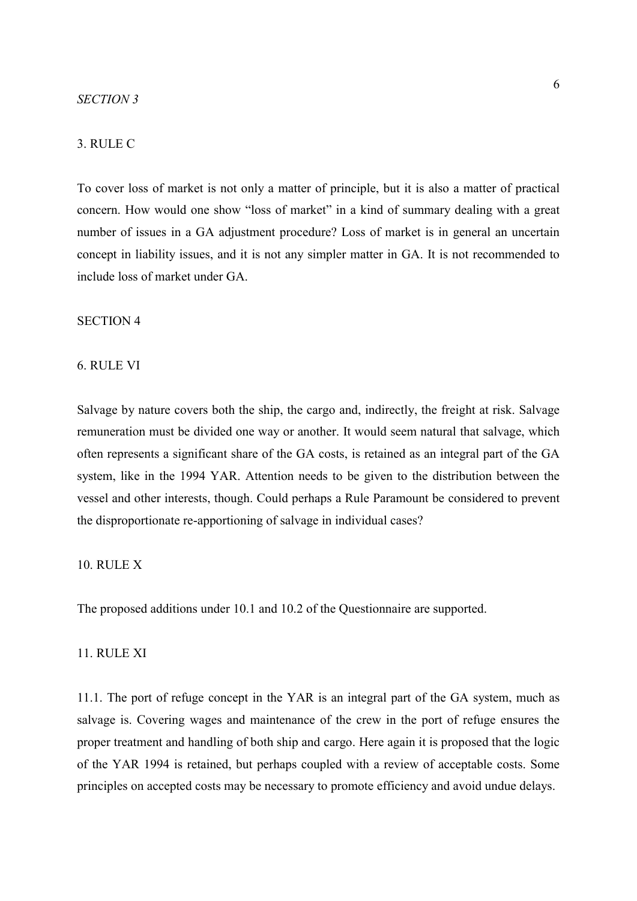## 3. RULE C

To cover loss of market is not only a matter of principle, but it is also a matter of practical concern. How would one show "loss of market" in a kind of summary dealing with a great number of issues in a GA adjustment procedure? Loss of market is in general an uncertain concept in liability issues, and it is not any simpler matter in GA. It is not recommended to include loss of market under GA.

#### SECTION 4

#### 6. RULE VI

Salvage by nature covers both the ship, the cargo and, indirectly, the freight at risk. Salvage remuneration must be divided one way or another. It would seem natural that salvage, which often represents a significant share of the GA costs, is retained as an integral part of the GA system, like in the 1994 YAR. Attention needs to be given to the distribution between the vessel and other interests, though. Could perhaps a Rule Paramount be considered to prevent the disproportionate re-apportioning of salvage in individual cases?

## 10. RULE X

The proposed additions under 10.1 and 10.2 of the Questionnaire are supported.

## 11. RULE XI

11.1. The port of refuge concept in the YAR is an integral part of the GA system, much as salvage is. Covering wages and maintenance of the crew in the port of refuge ensures the proper treatment and handling of both ship and cargo. Here again it is proposed that the logic of the YAR 1994 is retained, but perhaps coupled with a review of acceptable costs. Some principles on accepted costs may be necessary to promote efficiency and avoid undue delays.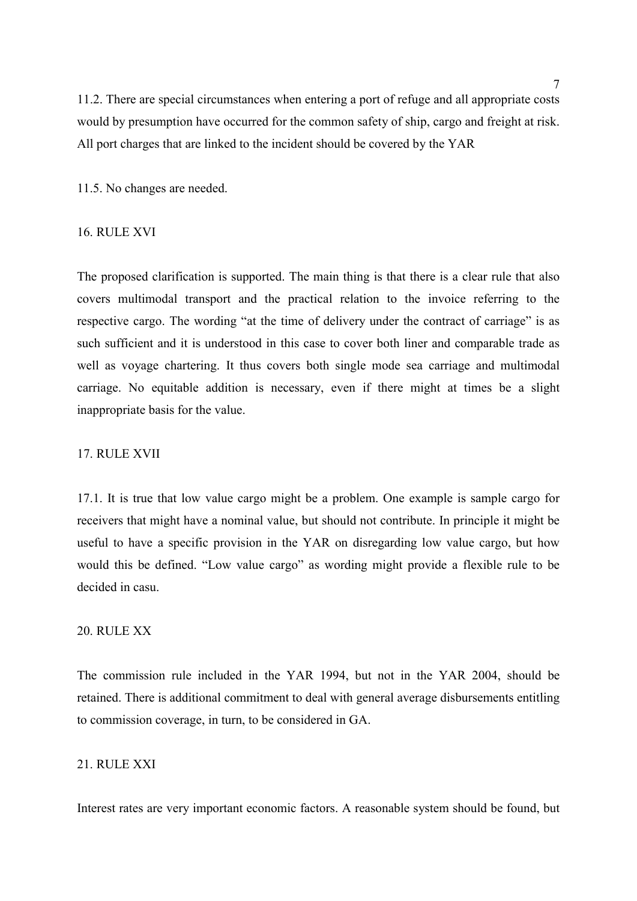11.2. There are special circumstances when entering a port of refuge and all appropriate costs would by presumption have occurred for the common safety of ship, cargo and freight at risk. All port charges that are linked to the incident should be covered by the YAR

11.5. No changes are needed.

## 16. RULE XVI

The proposed clarification is supported. The main thing is that there is a clear rule that also covers multimodal transport and the practical relation to the invoice referring to the respective cargo. The wording "at the time of delivery under the contract of carriage" is as such sufficient and it is understood in this case to cover both liner and comparable trade as well as voyage chartering. It thus covers both single mode sea carriage and multimodal carriage. No equitable addition is necessary, even if there might at times be a slight inappropriate basis for the value.

## 17. RULE XVII

17.1. It is true that low value cargo might be a problem. One example is sample cargo for receivers that might have a nominal value, but should not contribute. In principle it might be useful to have a specific provision in the YAR on disregarding low value cargo, but how would this be defined. "Low value cargo" as wording might provide a flexible rule to be decided in casu.

## 20. RULE XX

The commission rule included in the YAR 1994, but not in the YAR 2004, should be retained. There is additional commitment to deal with general average disbursements entitling to commission coverage, in turn, to be considered in GA.

## 21. RULE XXI

Interest rates are very important economic factors. A reasonable system should be found, but